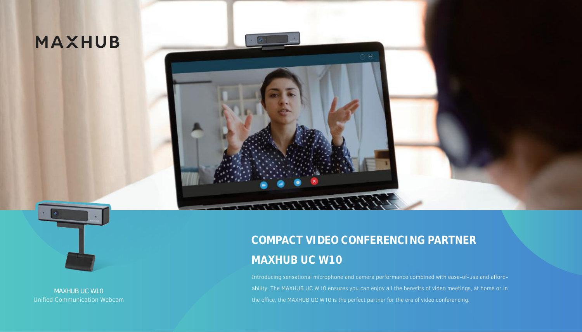# **MAXHUB**

**THE REAL PROPERTY OF STREET** 



MAXHUB UC W10 Unified Communication Webcam

# **COMPACT VIDEO CONFERENCING PARTNER MAXHUB UC W10**

Introducing sensational microphone and camera performance combined with ease-of-use and affordability. The MAXHUB UC W10 ensures you can enjoy all the benefits of video meetings, at home or in the office, the MAXHUB UC W10 is the perfect partner for the era of video conferencing.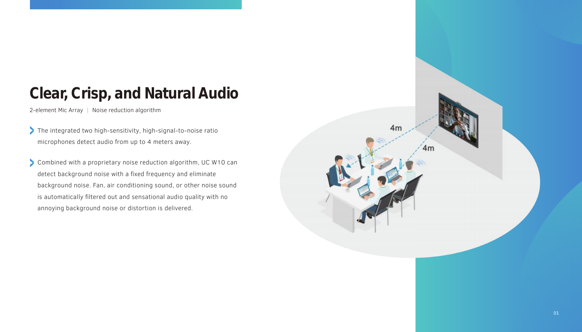#### **Clear, Crisp, and Natural Audio**

2-element Mic Array | Noise reduction algorithm

- The integrated two high-sensitivity, high-signal-to-noise ratio microphones detect audio from up to 4 meters away.
- Combined with a proprietary noise reduction algorithm, UC W10 can detect background noise with a fixed frequency and eliminate background noise. Fan, air conditioning sound, or other noise sound is automatically filtered out and sensational audio quality with no annoying background noise or distortion is delivered.

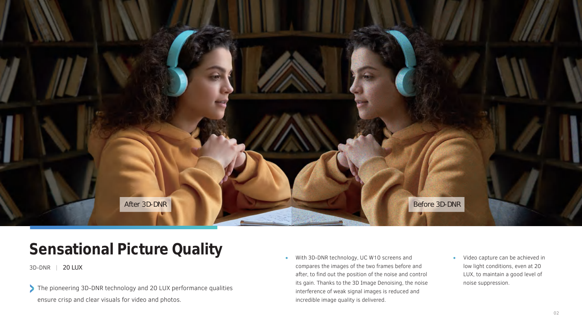

# **Sensational Picture Quality**

3D-DNR | 20 LUX

The pioneering 3D-DNR technology and 20 LUX performance qualities ensure crisp and clear visuals for video and photos.

- With 3D-DNR technology, UC W10 screens and compares the images of the two frames before and after, to find out the position of the noise and control its gain. Thanks to the 3D Image Denoising, the noise interference of weak signal images is reduced and incredible image quality is delivered.
- Video capture can be achieved in low light conditions, even at 20 LUX, to maintain a good level of noise suppression.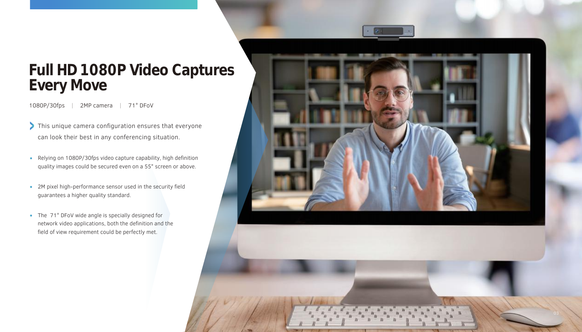#### **Full HD 1080P Video Captures Every Move**

1080P/30fps | 2MP camera | 71° DFoV

- This unique camera configuration ensures that everyone can look their best in any conferencing situation.
- Relying on 1080P/30fps video capture capability, high definition quality images could be secured even on a 55" screen or above.
- 2M pixel high-performance sensor used in the security field guarantees a higher quality standard.
- The 71° DFoV wide angle is specially designed for network video applications, both the definition and the field of view requirement could be perfectly met.

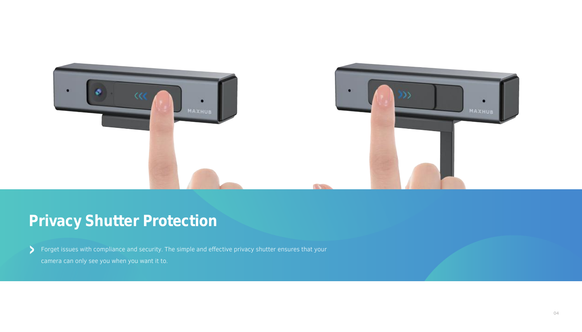

# **Privacy Shutter Protection**

Forget issues with compliance and security. The simple and effective privacy shutter ensures that your camera can only see you when you want it to.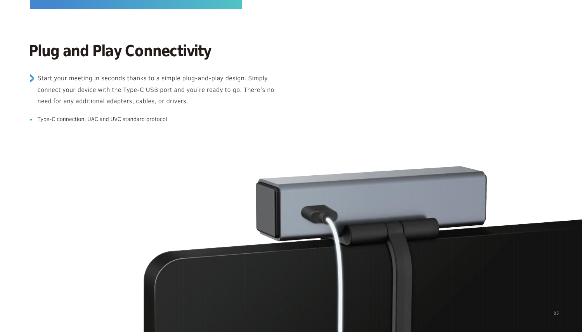# **Plug and Play Connectivity**

- Start your meeting in seconds thanks to a simple plug-and-play design. Simply connect your device with the Type-C USB port and you're ready to go. There's no need for any additional adapters, cables, or drivers.
- Type-C connection, UAC and UVC standard protocol.

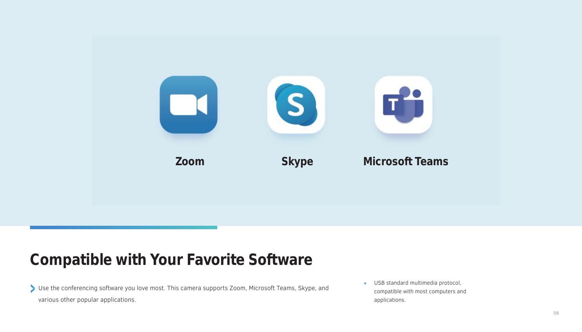

#### **Compatible with Your Favorite Software**

Use the conferencing software you love most. This camera supports Zoom, Microsoft Teams, Skype, and various other popular applications.

USB standard multimedia protocol,  $\bullet$ compatible with most computers and applications.